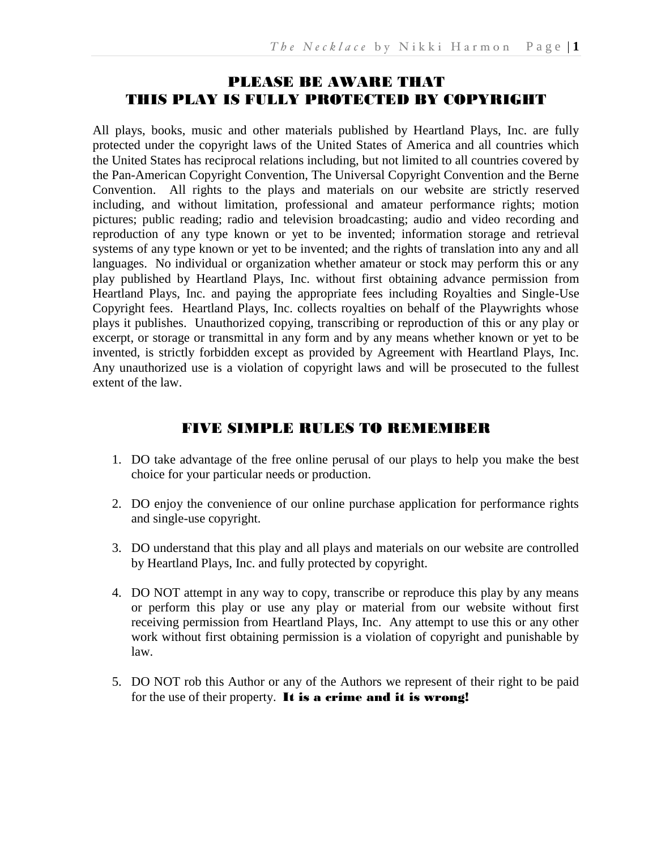# PLEASE BE AWARE THAT THIS PLAY IS FULLY PROTECTED BY COPYRIGHT

All plays, books, music and other materials published by Heartland Plays, Inc. are fully protected under the copyright laws of the United States of America and all countries which the United States has reciprocal relations including, but not limited to all countries covered by the Pan-American Copyright Convention, The Universal Copyright Convention and the Berne Convention. All rights to the plays and materials on our website are strictly reserved including, and without limitation, professional and amateur performance rights; motion pictures; public reading; radio and television broadcasting; audio and video recording and reproduction of any type known or yet to be invented; information storage and retrieval systems of any type known or yet to be invented; and the rights of translation into any and all languages. No individual or organization whether amateur or stock may perform this or any play published by Heartland Plays, Inc. without first obtaining advance permission from Heartland Plays, Inc. and paying the appropriate fees including Royalties and Single-Use Copyright fees. Heartland Plays, Inc. collects royalties on behalf of the Playwrights whose plays it publishes. Unauthorized copying, transcribing or reproduction of this or any play or excerpt, or storage or transmittal in any form and by any means whether known or yet to be invented, is strictly forbidden except as provided by Agreement with Heartland Plays, Inc. Any unauthorized use is a violation of copyright laws and will be prosecuted to the fullest extent of the law.

# FIVE SIMPLE RULES TO REMEMBER

- 1. DO take advantage of the free online perusal of our plays to help you make the best choice for your particular needs or production.
- 2. DO enjoy the convenience of our online purchase application for performance rights and single-use copyright.
- 3. DO understand that this play and all plays and materials on our website are controlled by Heartland Plays, Inc. and fully protected by copyright.
- 4. DO NOT attempt in any way to copy, transcribe or reproduce this play by any means or perform this play or use any play or material from our website without first receiving permission from Heartland Plays, Inc. Any attempt to use this or any other work without first obtaining permission is a violation of copyright and punishable by law.
- 5. DO NOT rob this Author or any of the Authors we represent of their right to be paid for the use of their property. It is a crime and it is wrong!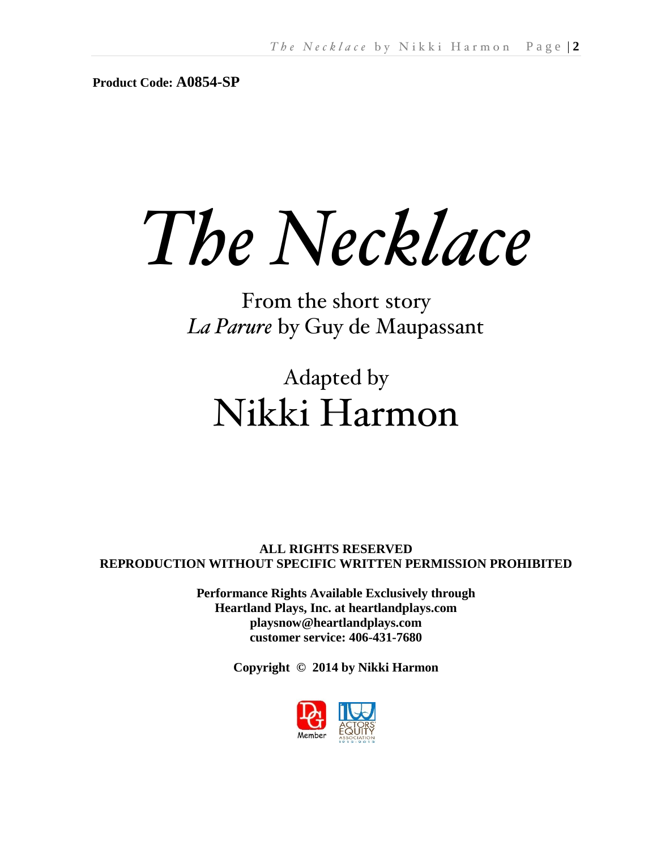**Product Code: A0854-SP**

*The Necklace*

From the short story *La Parure* by Guy de Maupassant

# Adapted by Nikki Harmon

**ALL RIGHTS RESERVED REPRODUCTION WITHOUT SPECIFIC WRITTEN PERMISSION PROHIBITED**

> **Performance Rights Available Exclusively through Heartland Plays, Inc. at heartlandplays.com playsnow@heartlandplays.com customer service: 406-431-7680**

> > **Copyright © 2014 by Nikki Harmon**

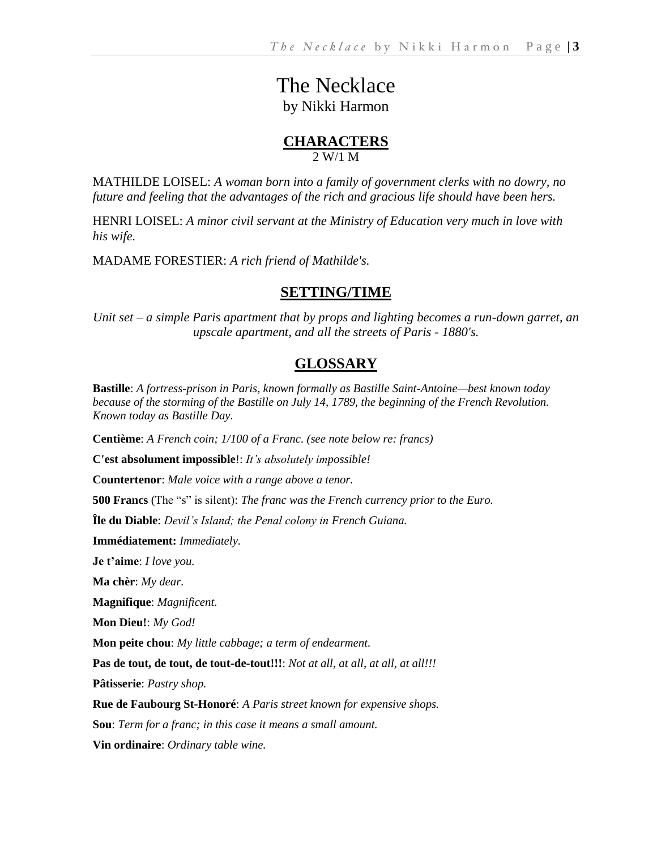# The Necklace by Nikki Harmon

# **CHARACTERS** 2 W/1 M

MATHILDE LOISEL: *A woman born into a family of government clerks with no dowry, no future and feeling that the advantages of the rich and gracious life should have been hers.*

HENRI LOISEL: *A minor civil servant at the Ministry of Education very much in love with his wife.* 

MADAME FORESTIER: *A rich friend of Mathilde's.*

# **SETTING/TIME**

*Unit set – a simple Paris apartment that by props and lighting becomes a run-down garret, an upscale apartment, and all the streets of Paris - 1880's.*

# **GLOSSARY**

**Bastille**: *A fortress-prison in Paris, known formally as Bastille Saint-Antoine—best known today because of the storming of the Bastille on July 14, 1789, the beginning of the French Revolution. Known today as Bastille Day.*

**Centième**: *A French coin; 1/100 of a Franc. (see note below re: francs)*

**C'est absolument impossible**!: *It's absolutely impossible!*

**Countertenor**: *Male voice with a range above a tenor.*

**500 Francs** (The "s" is silent): *The franc was the French currency prior to the Euro.*

**Île du Diable**: *Devil's Island; the Penal colony in French Guiana.*

**Immédiatement:** *Immediately.*

**Je t'aime**: *I love you.*

**Ma chèr**: *My dear.*

**Magnifique**: *Magnificent.*

**Mon Dieu!**: *My God!*

**Mon peite chou**: *My little cabbage; a term of endearment.*

**Pas de tout, de tout, de tout-de-tout!!!**: *Not at all, at all, at all, at all!!!*

**Pâtisserie**: *Pastry shop.*

**Rue de Faubourg St-Honoré**: *A Paris street known for expensive shops.*

**Sou**: *Term for a franc; in this case it means a small amount.*

**Vin ordinaire**: *Ordinary table wine.*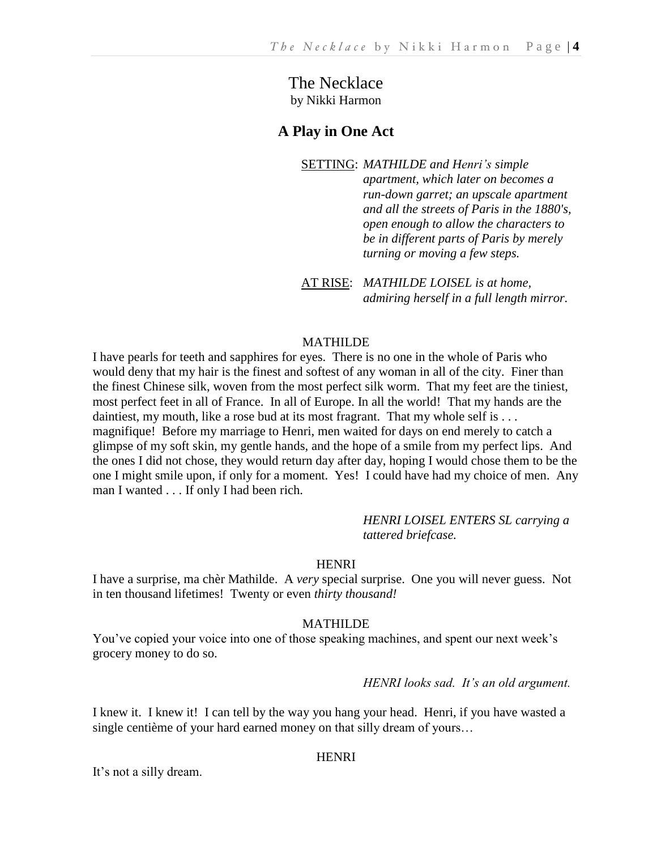The Necklace by Nikki Harmon

# **A Play in One Act**

SETTING: *MATHILDE and Henri's simple apartment, which later on becomes a run-down garret; an upscale apartment and all the streets of Paris in the 1880's, open enough to allow the characters to be in different parts of Paris by merely turning or moving a few steps.*

AT RISE: *MATHILDE LOISEL is at home, admiring herself in a full length mirror.*

# MATHILDE

I have pearls for teeth and sapphires for eyes. There is no one in the whole of Paris who would deny that my hair is the finest and softest of any woman in all of the city. Finer than the finest Chinese silk, woven from the most perfect silk worm. That my feet are the tiniest, most perfect feet in all of France. In all of Europe. In all the world! That my hands are the daintiest, my mouth, like a rose bud at its most fragrant. That my whole self is . . . magnifique! Before my marriage to Henri, men waited for days on end merely to catch a glimpse of my soft skin, my gentle hands, and the hope of a smile from my perfect lips. And the ones I did not chose, they would return day after day, hoping I would chose them to be the one I might smile upon, if only for a moment. Yes! I could have had my choice of men. Any man I wanted . . . If only I had been rich.

> *HENRI LOISEL ENTERS SL carrying a tattered briefcase.*

#### **HENRI**

I have a surprise, ma chèr Mathilde. A *very* special surprise. One you will never guess. Not in ten thousand lifetimes! Twenty or even *thirty thousand!* 

#### MATHILDE

You've copied your voice into one of those speaking machines, and spent our next week's grocery money to do so.

*HENRI looks sad. It's an old argument.*

I knew it. I knew it! I can tell by the way you hang your head. Henri, if you have wasted a single centième of your hard earned money on that silly dream of yours…

#### **HENRI**

It's not a silly dream.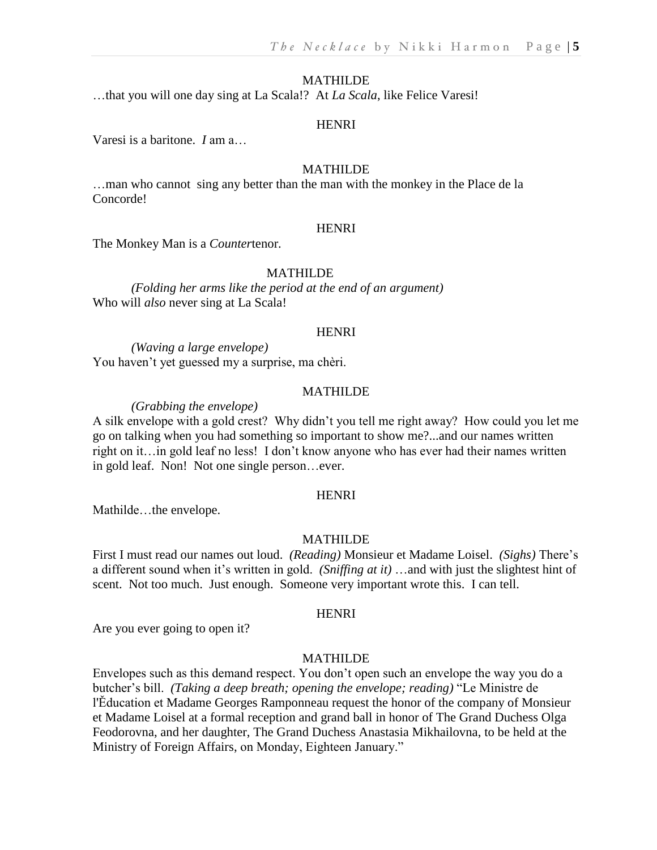…that you will one day sing at La Scala!? At *La Scala*, like Felice Varesi!

#### HENRI

Varesi is a baritone. *I* am a…

#### MATHILDE

…man who cannot sing any better than the man with the monkey in the Place de la Concorde!

#### **HENRI**

The Monkey Man is a *Counter*tenor.

#### MATHILDE

*(Folding her arms like the period at the end of an argument)* Who will *also* never sing at La Scala!

#### **HENRI**

*(Waving a large envelope)* You haven't yet guessed my a surprise, ma chèri.

#### MATHILDE

*(Grabbing the envelope)*

A silk envelope with a gold crest? Why didn't you tell me right away? How could you let me go on talking when you had something so important to show me?...and our names written right on it…in gold leaf no less! I don't know anyone who has ever had their names written in gold leaf. Non! Not one single person…ever.

#### HENRI

Mathilde…the envelope.

#### MATHILDE

First I must read our names out loud. *(Reading)* Monsieur et Madame Loisel. *(Sighs)* There's a different sound when it's written in gold. *(Sniffing at it)* …and with just the slightest hint of scent. Not too much. Just enough. Someone very important wrote this. I can tell.

#### HENRI

Are you ever going to open it?

# MATHILDE

Envelopes such as this demand respect. You don't open such an envelope the way you do a butcher's bill. *(Taking a deep breath; opening the envelope; reading)* "Le Ministre de l'Ěducation et Madame Georges Ramponneau request the honor of the company of Monsieur et Madame Loisel at a formal reception and grand ball in honor of The Grand Duchess Olga Feodorovna, and her daughter, The Grand Duchess Anastasia Mikhailovna, to be held at the Ministry of Foreign Affairs, on Monday, Eighteen January."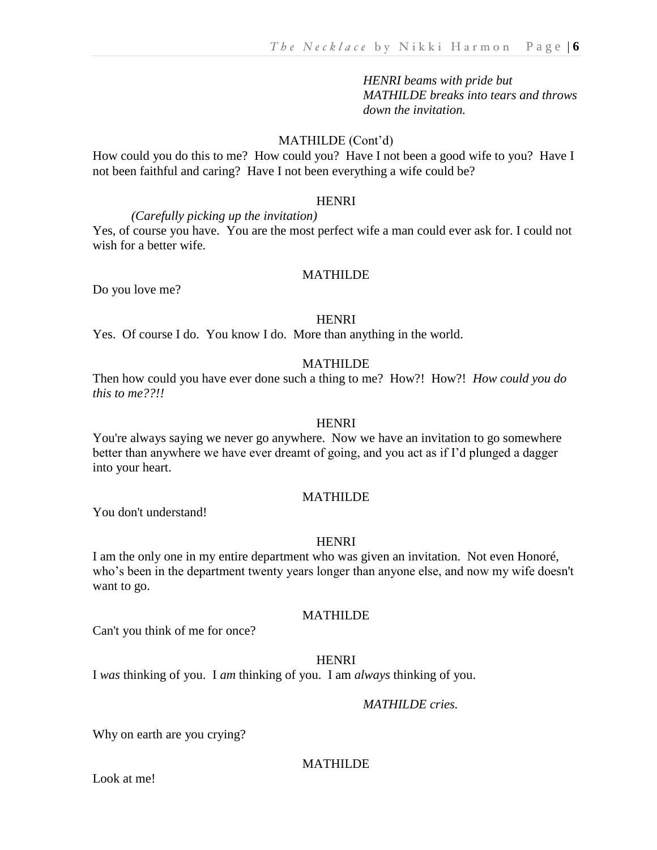*HENRI beams with pride but MATHILDE breaks into tears and throws down the invitation.*

# MATHILDE (Cont'd)

How could you do this to me? How could you? Have I not been a good wife to you? Have I not been faithful and caring? Have I not been everything a wife could be?

# **HENRI**

*(Carefully picking up the invitation)* Yes, of course you have. You are the most perfect wife a man could ever ask for. I could not wish for a better wife.

#### MATHILDE

Do you love me?

#### HENRI

Yes. Of course I do. You know I do. More than anything in the world.

# MATHILDE

Then how could you have ever done such a thing to me? How?! How?! *How could you do this to me??!!*

#### HENRI

You're always saying we never go anywhere. Now we have an invitation to go somewhere better than anywhere we have ever dreamt of going, and you act as if I'd plunged a dagger into your heart.

#### MATHILDE

You don't understand!

#### HENRI

I am the only one in my entire department who was given an invitation. Not even Honoré, who's been in the department twenty years longer than anyone else, and now my wife doesn't want to go.

#### MATHILDE

Can't you think of me for once?

#### HENRI

I *was* thinking of you. I *am* thinking of you. I am *always* thinking of you.

# *MATHILDE cries.*

Why on earth are you crying?

# MATHILDE

Look at me!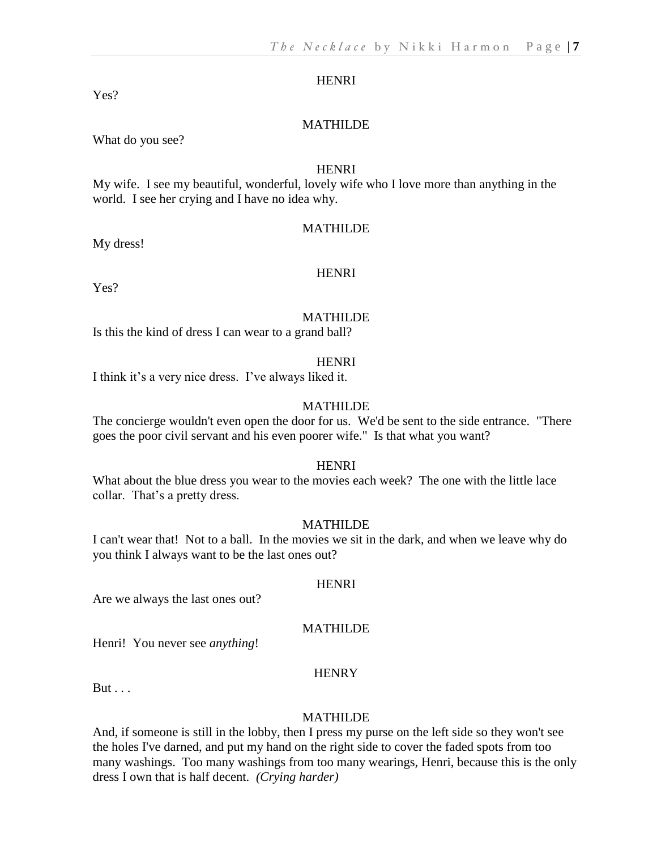Yes?

# MATHILDE

What do you see?

#### **HENRI**

My wife. I see my beautiful, wonderful, lovely wife who I love more than anything in the world. I see her crying and I have no idea why.

#### MATHILDE

My dress!

#### HENRI

Yes?

#### MATHILDE

Is this the kind of dress I can wear to a grand ball?

#### HENRI

I think it's a very nice dress. I've always liked it.

### MATHILDE

The concierge wouldn't even open the door for us. We'd be sent to the side entrance. "There goes the poor civil servant and his even poorer wife." Is that what you want?

### **HENRI**

What about the blue dress you wear to the movies each week? The one with the little lace collar. That's a pretty dress.

#### MATHILDE

I can't wear that! Not to a ball. In the movies we sit in the dark, and when we leave why do you think I always want to be the last ones out?

#### **HENRI**

Are we always the last ones out?

# MATHILDE

Henri! You never see *anything*!

# **HENRY**

 $But...$ 

#### MATHILDE

And, if someone is still in the lobby, then I press my purse on the left side so they won't see the holes I've darned, and put my hand on the right side to cover the faded spots from too many washings. Too many washings from too many wearings, Henri, because this is the only dress I own that is half decent. *(Crying harder)*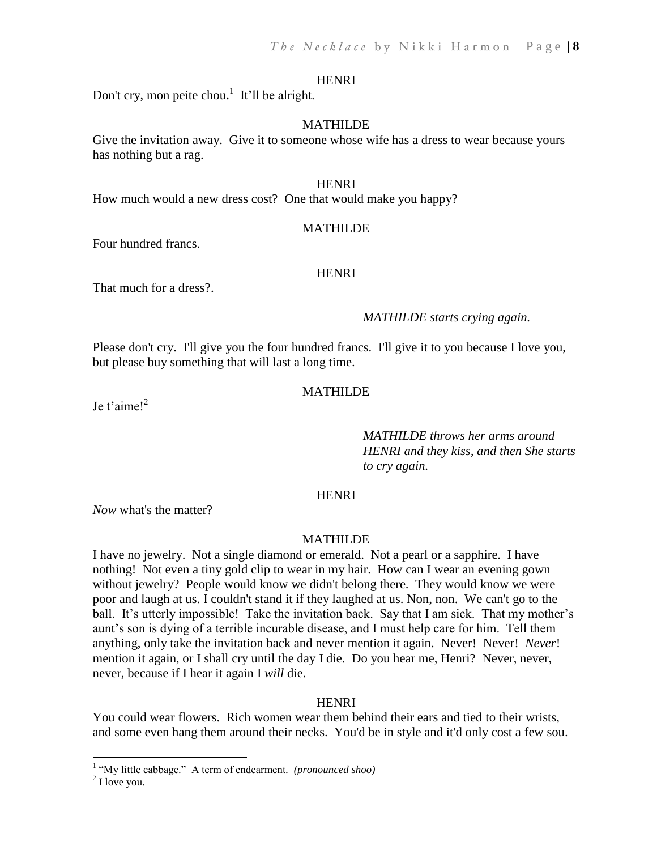Don't cry, mon peite chou.<sup>1</sup> It'll be alright.

#### MATHILDE

Give the invitation away. Give it to someone whose wife has a dress to wear because yours has nothing but a rag.

#### HENRI

How much would a new dress cost? One that would make you happy?

#### MATHILDE

Four hundred francs.

#### **HENRI**

That much for a dress?.

#### *MATHILDE starts crying again.*

Please don't cry. I'll give you the four hundred francs. I'll give it to you because I love you, but please buy something that will last a long time.

#### MATHILDE

Ie t'aimel $^2$ 

*MATHILDE throws her arms around HENRI and they kiss, and then She starts to cry again.*

#### HENRI

*Now* what's the matter?

#### MATHILDE

I have no jewelry. Not a single diamond or emerald. Not a pearl or a sapphire. I have nothing! Not even a tiny gold clip to wear in my hair. How can I wear an evening gown without jewelry? People would know we didn't belong there. They would know we were poor and laugh at us. I couldn't stand it if they laughed at us. Non, non. We can't go to the ball. It's utterly impossible! Take the invitation back. Say that I am sick. That my mother's aunt's son is dying of a terrible incurable disease, and I must help care for him. Tell them anything, only take the invitation back and never mention it again. Never! Never! *Never*! mention it again, or I shall cry until the day I die. Do you hear me, Henri? Never, never, never, because if I hear it again I *will* die.

#### **HENRI**

You could wear flowers. Rich women wear them behind their ears and tied to their wrists, and some even hang them around their necks. You'd be in style and it'd only cost a few sou.

 $\overline{a}$ 

<sup>&</sup>lt;sup>1</sup> "My little cabbage." A term of endearment. (pronounced shoo)

 $2$  I love you.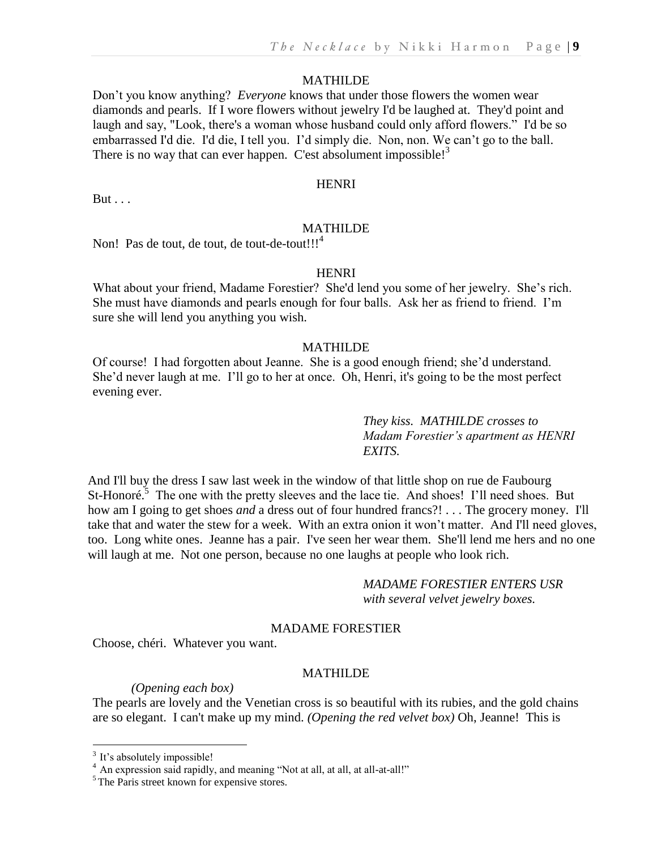Don't you know anything? *Everyone* knows that under those flowers the women wear diamonds and pearls. If I wore flowers without jewelry I'd be laughed at. They'd point and laugh and say, "Look, there's a woman whose husband could only afford flowers." I'd be so embarrassed I'd die. I'd die, I tell you. I'd simply die. Non, non. We can't go to the ball. There is no way that can ever happen. C'est absolument impossible!<sup>3</sup>

# **HENRI**

But . . .

#### MATHILDE

Non! Pas de tout, de tout, de tout-de-tout!!!<sup>4</sup>

### **HENRI**

What about your friend, Madame Forestier? She'd lend you some of her jewelry. She's rich. She must have diamonds and pearls enough for four balls. Ask her as friend to friend. I'm sure she will lend you anything you wish.

# MATHILDE

Of course! I had forgotten about Jeanne. She is a good enough friend; she'd understand. She'd never laugh at me. I'll go to her at once. Oh, Henri, it's going to be the most perfect evening ever.

> *They kiss. MATHILDE crosses to Madam Forestier's apartment as HENRI EXITS.*

And I'll buy the dress I saw last week in the window of that little shop on rue de Faubourg St-Honoré.<sup>5</sup> The one with the pretty sleeves and the lace tie. And shoes! I'll need shoes. But how am I going to get shoes *and* a dress out of four hundred francs?! . . . The grocery money. I'll take that and water the stew for a week. With an extra onion it won't matter. And I'll need gloves, too. Long white ones. Jeanne has a pair. I've seen her wear them. She'll lend me hers and no one will laugh at me. Not one person, because no one laughs at people who look rich.

> *MADAME FORESTIER ENTERS USR with several velvet jewelry boxes.*

# MADAME FORESTIER

Choose, chéri. Whatever you want.

# MATHILDE

*(Opening each box)*

The pearls are lovely and the Venetian cross is so beautiful with its rubies, and the gold chains are so elegant. I can't make up my mind. *(Opening the red velvet box)* Oh, Jeanne! This is

 $\overline{a}$ 

<sup>&</sup>lt;sup>3</sup> It's absolutely impossible!

<sup>&</sup>lt;sup>4</sup> An expression said rapidly, and meaning "Not at all, at all, at all-at-all!"

<sup>&</sup>lt;sup>5</sup> The Paris street known for expensive stores.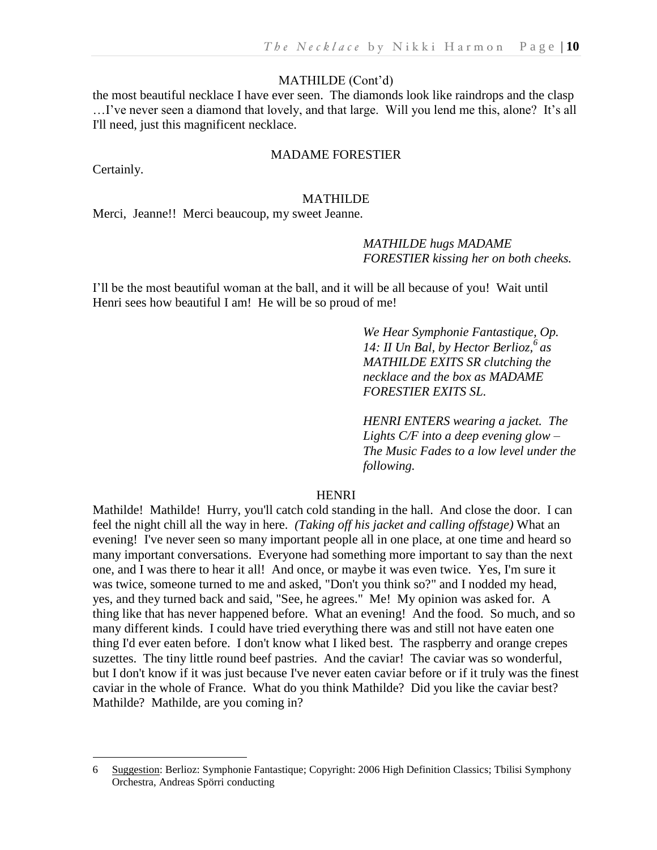#### MATHILDE (Cont'd)

the most beautiful necklace I have ever seen. The diamonds look like raindrops and the clasp …I've never seen a diamond that lovely, and that large. Will you lend me this, alone? It's all I'll need, just this magnificent necklace.

# MADAME FORESTIER

Certainly.

 $\overline{a}$ 

#### MATHILDE

Merci, Jeanne!! Merci beaucoup, my sweet Jeanne.

# *MATHILDE hugs MADAME FORESTIER kissing her on both cheeks.*

I'll be the most beautiful woman at the ball, and it will be all because of you! Wait until Henri sees how beautiful I am! He will be so proud of me!

> *We Hear Symphonie Fantastique, Op. 14: II Un Bal, by Hector Berlioz,<sup>6</sup> as MATHILDE EXITS SR clutching the necklace and the box as MADAME FORESTIER EXITS SL.*

*HENRI ENTERS wearing a jacket. The Lights C/F into a deep evening glow – The Music Fades to a low level under the following.*

# HENRI

Mathilde! Mathilde! Hurry, you'll catch cold standing in the hall. And close the door. I can feel the night chill all the way in here. *(Taking off his jacket and calling offstage)* What an evening! I've never seen so many important people all in one place, at one time and heard so many important conversations. Everyone had something more important to say than the next one, and I was there to hear it all! And once, or maybe it was even twice. Yes, I'm sure it was twice, someone turned to me and asked, "Don't you think so?" and I nodded my head, yes, and they turned back and said, "See, he agrees." Me! My opinion was asked for. A thing like that has never happened before. What an evening! And the food. So much, and so many different kinds. I could have tried everything there was and still not have eaten one thing I'd ever eaten before. I don't know what I liked best. The raspberry and orange crepes suzettes. The tiny little round beef pastries. And the caviar! The caviar was so wonderful, but I don't know if it was just because I've never eaten caviar before or if it truly was the finest caviar in the whole of France. What do you think Mathilde? Did you like the caviar best? Mathilde? Mathilde, are you coming in?

<sup>6</sup> Suggestion: Berlioz: Symphonie Fantastique; Copyright: 2006 High Definition Classics; Tbilisi Symphony Orchestra, Andreas Spörri conducting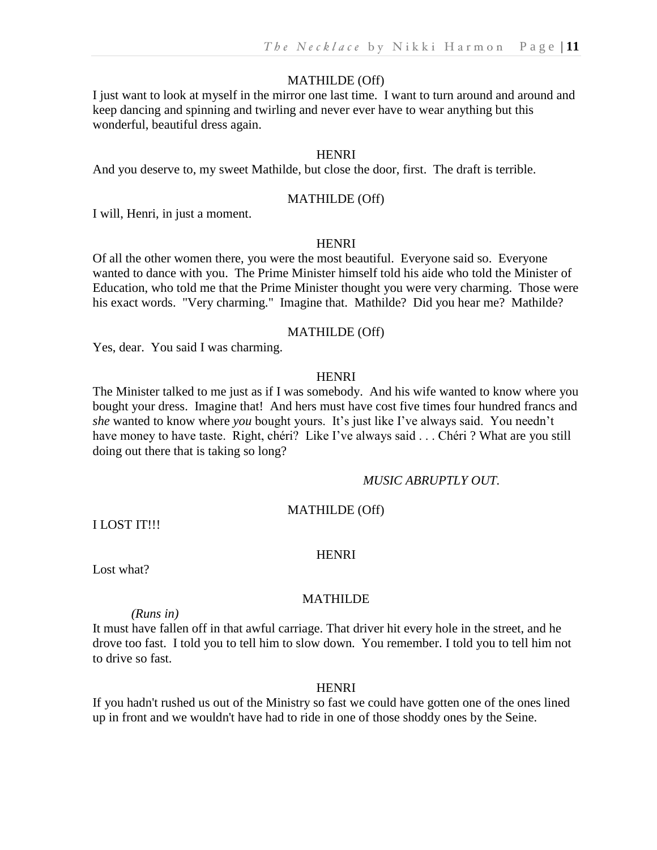# MATHILDE (Off)

I just want to look at myself in the mirror one last time. I want to turn around and around and keep dancing and spinning and twirling and never ever have to wear anything but this wonderful, beautiful dress again.

# **HENRI**

And you deserve to, my sweet Mathilde, but close the door, first. The draft is terrible.

#### MATHILDE (Off)

I will, Henri, in just a moment.

#### HENRI

Of all the other women there, you were the most beautiful. Everyone said so. Everyone wanted to dance with you. The Prime Minister himself told his aide who told the Minister of Education, who told me that the Prime Minister thought you were very charming. Those were his exact words. "Very charming." Imagine that. Mathilde? Did you hear me? Mathilde?

# MATHILDE (Off)

Yes, dear. You said I was charming.

#### HENRI

The Minister talked to me just as if I was somebody. And his wife wanted to know where you bought your dress. Imagine that! And hers must have cost five times four hundred francs and *she* wanted to know where *you* bought yours. It's just like I've always said. You needn't have money to have taste. Right, chéri? Like I've always said . . . Chéri ? What are you still doing out there that is taking so long?

# *MUSIC ABRUPTLY OUT.*

# MATHILDE (Off)

I LOST IT!!!

# HENRI

Lost what?

# MATHILDE

*(Runs in)*

It must have fallen off in that awful carriage. That driver hit every hole in the street, and he drove too fast. I told you to tell him to slow down. You remember. I told you to tell him not to drive so fast.

# **HENRI**

If you hadn't rushed us out of the Ministry so fast we could have gotten one of the ones lined up in front and we wouldn't have had to ride in one of those shoddy ones by the Seine.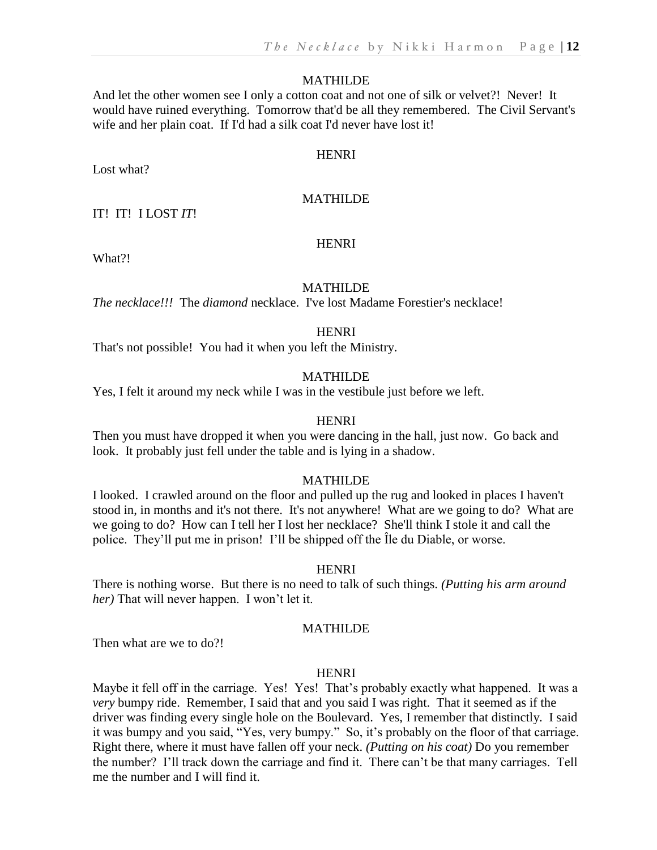And let the other women see I only a cotton coat and not one of silk or velvet?! Never! It would have ruined everything. Tomorrow that'd be all they remembered. The Civil Servant's wife and her plain coat. If I'd had a silk coat I'd never have lost it!

# **HENRI**

Lost what?

# MATHILDE

IT! IT! I LOST *IT*!

#### HENRI

What?!

# MATHILDE

*The necklace!!!* The *diamond* necklace. I've lost Madame Forestier's necklace!

#### **HENRI**

That's not possible! You had it when you left the Ministry.

#### MATHILDE

Yes, I felt it around my neck while I was in the vestibule just before we left.

#### **HENRI**

Then you must have dropped it when you were dancing in the hall, just now. Go back and look. It probably just fell under the table and is lying in a shadow.

# MATHILDE

I looked. I crawled around on the floor and pulled up the rug and looked in places I haven't stood in, in months and it's not there. It's not anywhere! What are we going to do? What are we going to do? How can I tell her I lost her necklace? She'll think I stole it and call the police. They'll put me in prison! I'll be shipped off the Île du Diable, or worse.

#### **HENRI**

There is nothing worse. But there is no need to talk of such things. *(Putting his arm around her)* That will never happen. I won't let it.

# MATHILDE

Then what are we to do?!

#### **HENRI**

Maybe it fell off in the carriage. Yes! Yes! That's probably exactly what happened. It was a *very* bumpy ride. Remember, I said that and you said I was right. That it seemed as if the driver was finding every single hole on the Boulevard. Yes, I remember that distinctly. I said it was bumpy and you said, "Yes, very bumpy." So, it's probably on the floor of that carriage. Right there, where it must have fallen off your neck. *(Putting on his coat)* Do you remember the number? I'll track down the carriage and find it. There can't be that many carriages. Tell me the number and I will find it.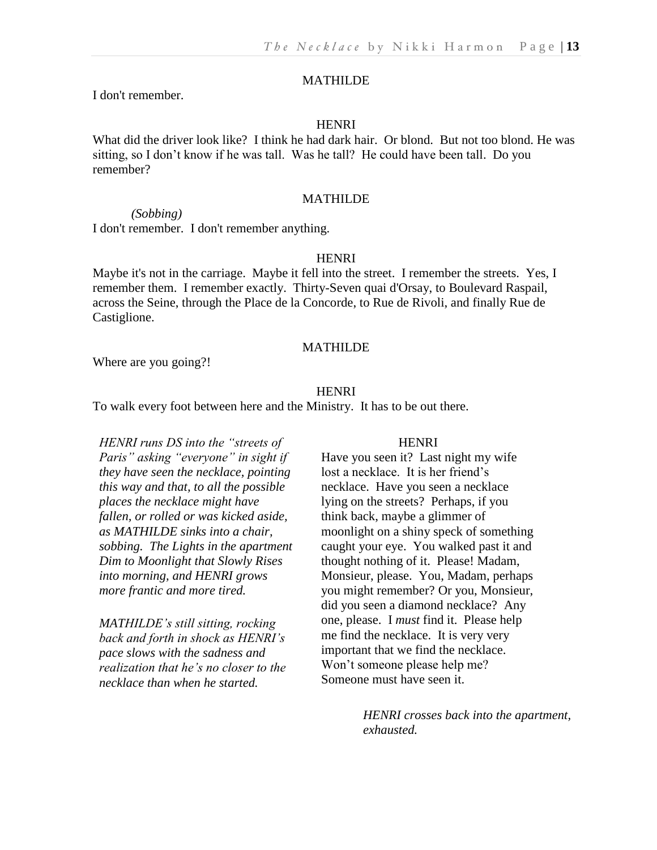I don't remember.

# **HENRI**

What did the driver look like? I think he had dark hair. Or blond. But not too blond. He was sitting, so I don't know if he was tall. Was he tall? He could have been tall. Do you remember?

#### MATHILDE

*(Sobbing)* I don't remember. I don't remember anything.

#### **HENRI**

Maybe it's not in the carriage. Maybe it fell into the street. I remember the streets. Yes, I remember them. I remember exactly. Thirty-Seven quai d'Orsay, to Boulevard Raspail, across the Seine, through the Place de la Concorde, to Rue de Rivoli, and finally Rue de Castiglione.

#### MATHILDE

Where are you going?!

#### **HENRI**

To walk every foot between here and the Ministry. It has to be out there.

*HENRI runs DS into the "streets of Paris" asking "everyone" in sight if they have seen the necklace, pointing this way and that, to all the possible places the necklace might have fallen, or rolled or was kicked aside, as MATHILDE sinks into a chair, sobbing. The Lights in the apartment Dim to Moonlight that Slowly Rises into morning, and HENRI grows more frantic and more tired.* 

*MATHILDE's still sitting, rocking back and forth in shock as HENRI's pace slows with the sadness and realization that he's no closer to the necklace than when he started.*

#### **HENRI**

Have you seen it? Last night my wife lost a necklace. It is her friend's necklace. Have you seen a necklace lying on the streets? Perhaps, if you think back, maybe a glimmer of moonlight on a shiny speck of something caught your eye. You walked past it and thought nothing of it. Please! Madam, Monsieur, please. You, Madam, perhaps you might remember? Or you, Monsieur, did you seen a diamond necklace? Any one, please. I *must* find it. Please help me find the necklace. It is very very important that we find the necklace. Won't someone please help me? Someone must have seen it.

> *HENRI crosses back into the apartment, exhausted.*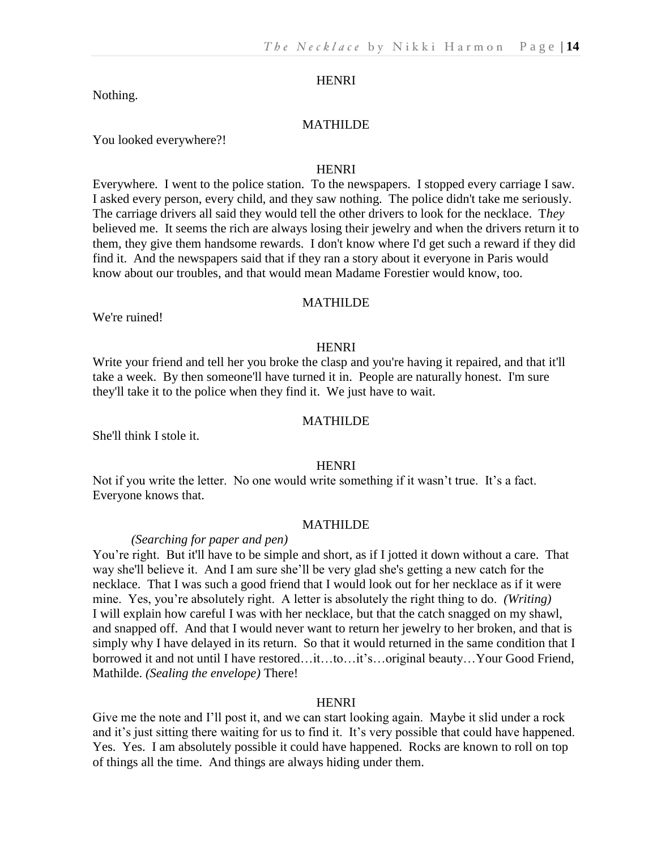Nothing.

#### MATHILDE

You looked everywhere?!

# **HENRI**

Everywhere. I went to the police station. To the newspapers. I stopped every carriage I saw. I asked every person, every child, and they saw nothing. The police didn't take me seriously. The carriage drivers all said they would tell the other drivers to look for the necklace. T*hey* believed me. It seems the rich are always losing their jewelry and when the drivers return it to them, they give them handsome rewards. I don't know where I'd get such a reward if they did find it. And the newspapers said that if they ran a story about it everyone in Paris would know about our troubles, and that would mean Madame Forestier would know, too.

#### MATHILDE

We're ruined!

#### HENRI

Write your friend and tell her you broke the clasp and you're having it repaired, and that it'll take a week. By then someone'll have turned it in. People are naturally honest. I'm sure they'll take it to the police when they find it. We just have to wait.

#### MATHILDE

She'll think I stole it.

### **HENRI**

Not if you write the letter. No one would write something if it wasn't true. It's a fact. Everyone knows that.

#### MATHILDE

# *(Searching for paper and pen)*

You're right. But it'll have to be simple and short, as if I jotted it down without a care. That way she'll believe it. And I am sure she'll be very glad she's getting a new catch for the necklace. That I was such a good friend that I would look out for her necklace as if it were mine. Yes, you're absolutely right. A letter is absolutely the right thing to do. *(Writing)* I will explain how careful I was with her necklace, but that the catch snagged on my shawl, and snapped off. And that I would never want to return her jewelry to her broken, and that is simply why I have delayed in its return. So that it would returned in the same condition that I borrowed it and not until I have restored…it…to…it's…original beauty…Your Good Friend, Mathilde. *(Sealing the envelope)* There!

#### **HENRI**

Give me the note and I'll post it, and we can start looking again. Maybe it slid under a rock and it's just sitting there waiting for us to find it. It's very possible that could have happened. Yes. Yes. I am absolutely possible it could have happened. Rocks are known to roll on top of things all the time. And things are always hiding under them.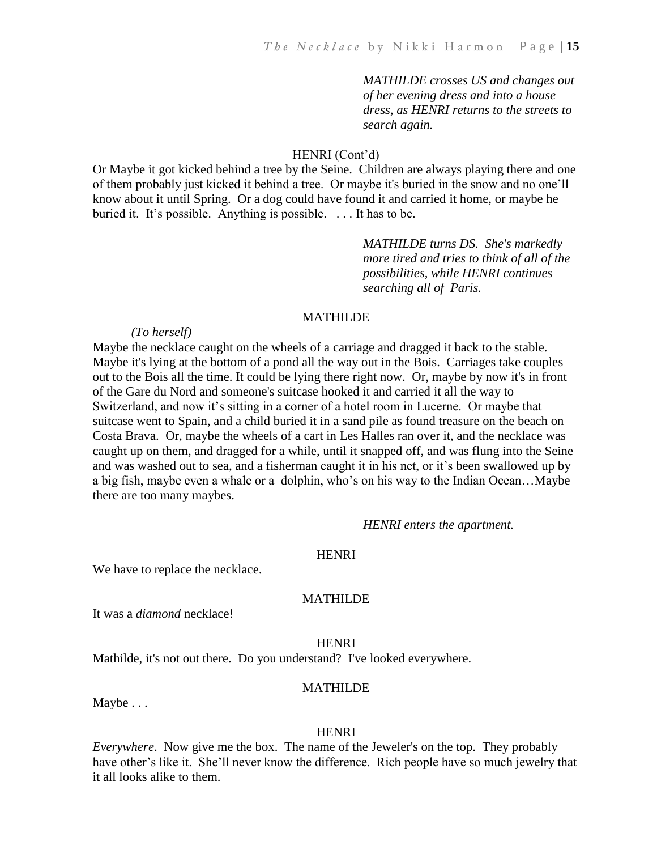*MATHILDE crosses US and changes out of her evening dress and into a house dress, as HENRI returns to the streets to search again.*

# HENRI (Cont'd)

Or Maybe it got kicked behind a tree by the Seine. Children are always playing there and one of them probably just kicked it behind a tree. Or maybe it's buried in the snow and no one'll know about it until Spring. Or a dog could have found it and carried it home, or maybe he buried it. It's possible. Anything is possible. . . . It has to be.

> *MATHILDE turns DS. She's markedly more tired and tries to think of all of the possibilities, while HENRI continues searching all of Paris.*

# MATHILDE

#### *(To herself)*

Maybe the necklace caught on the wheels of a carriage and dragged it back to the stable. Maybe it's lying at the bottom of a pond all the way out in the Bois. Carriages take couples out to the Bois all the time. It could be lying there right now. Or, maybe by now it's in front of the Gare du Nord and someone's suitcase hooked it and carried it all the way to Switzerland, and now it's sitting in a corner of a hotel room in Lucerne. Or maybe that suitcase went to Spain, and a child buried it in a sand pile as found treasure on the beach on Costa Brava. Or, maybe the wheels of a cart in Les Halles ran over it, and the necklace was caught up on them, and dragged for a while, until it snapped off, and was flung into the Seine and was washed out to sea, and a fisherman caught it in his net, or it's been swallowed up by a big fish, maybe even a whale or a dolphin, who's on his way to the Indian Ocean…Maybe there are too many maybes.

*HENRI enters the apartment.*

#### HENRI

We have to replace the necklace.

### MATHILDE

It was a *diamond* necklace!

#### HENRI

Mathilde, it's not out there. Do you understand? I've looked everywhere.

#### MATHILDE

Maybe . . .

#### HENRI

*Everywhere*. Now give me the box. The name of the Jeweler's on the top. They probably have other's like it. She'll never know the difference. Rich people have so much jewelry that it all looks alike to them.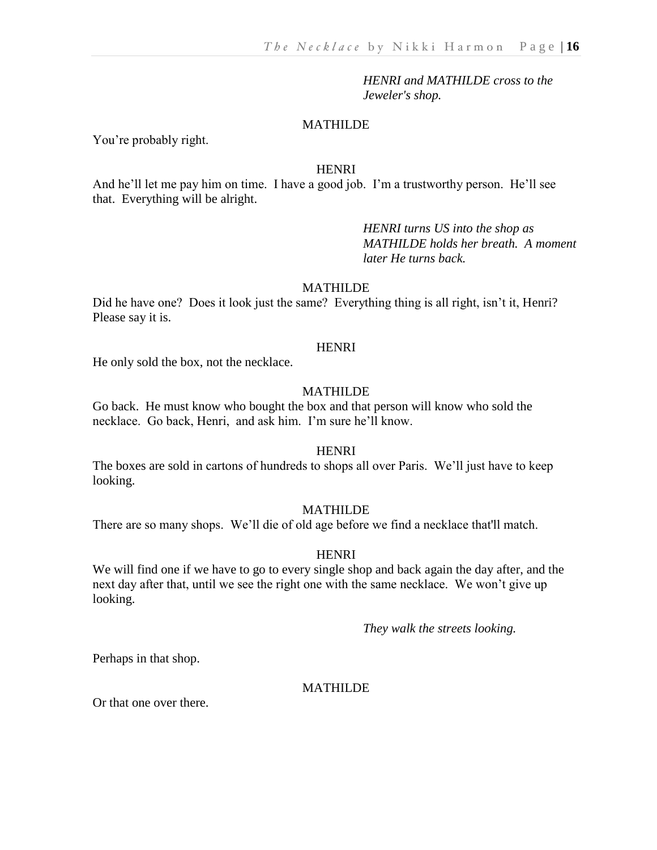*HENRI and MATHILDE cross to the Jeweler's shop.*

# MATHILDE

You're probably right.

#### HENRI

And he'll let me pay him on time. I have a good job. I'm a trustworthy person. He'll see that. Everything will be alright.

> *HENRI turns US into the shop as MATHILDE holds her breath. A moment later He turns back.*

#### MATHILDE

Did he have one? Does it look just the same? Everything thing is all right, isn't it, Henri? Please say it is.

#### HENRI

He only sold the box, not the necklace.

# MATHILDE

Go back. He must know who bought the box and that person will know who sold the necklace. Go back, Henri, and ask him. I'm sure he'll know.

#### **HENRI**

The boxes are sold in cartons of hundreds to shops all over Paris. We'll just have to keep looking.

# MATHILDE

There are so many shops. We'll die of old age before we find a necklace that'll match.

#### HENRI

We will find one if we have to go to every single shop and back again the day after, and the next day after that, until we see the right one with the same necklace. We won't give up looking.

*They walk the streets looking.*

Perhaps in that shop.

# MATHILDE

Or that one over there.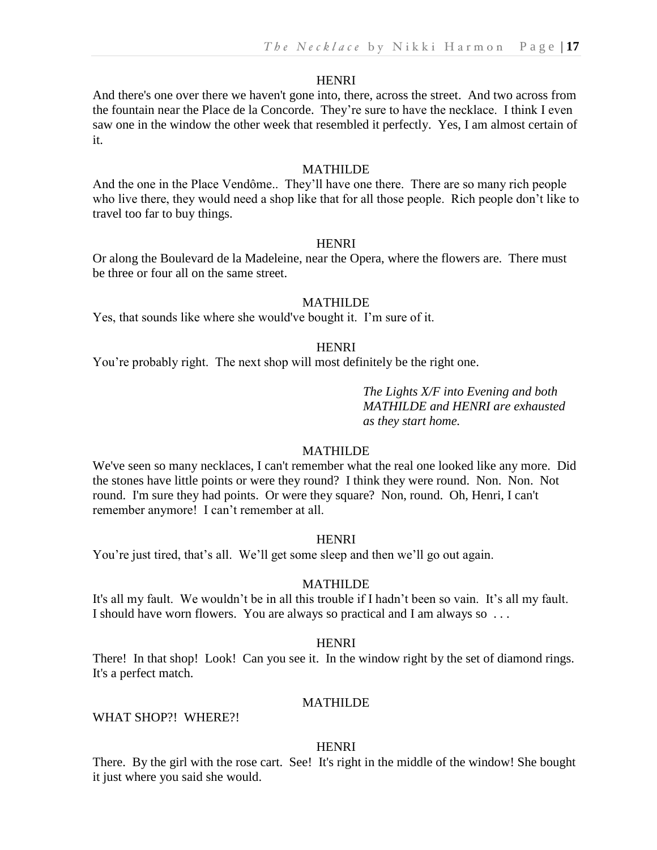And there's one over there we haven't gone into, there, across the street. And two across from the fountain near the Place de la Concorde. They're sure to have the necklace. I think I even saw one in the window the other week that resembled it perfectly. Yes, I am almost certain of it.

#### MATHILDE

And the one in the Place Vendôme.. They'll have one there. There are so many rich people who live there, they would need a shop like that for all those people. Rich people don't like to travel too far to buy things.

#### HENRI

Or along the Boulevard de la Madeleine, near the Opera, where the flowers are. There must be three or four all on the same street.

# MATHILDE

Yes, that sounds like where she would've bought it. I'm sure of it.

# HENRI

You're probably right. The next shop will most definitely be the right one.

# *The Lights X/F into Evening and both MATHILDE and HENRI are exhausted as they start home.*

#### MATHILDE

We've seen so many necklaces, I can't remember what the real one looked like any more. Did the stones have little points or were they round? I think they were round. Non. Non. Not round. I'm sure they had points. Or were they square? Non, round. Oh, Henri, I can't remember anymore! I can't remember at all.

#### HENRI

You're just tired, that's all. We'll get some sleep and then we'll go out again.

#### MATHILDE

It's all my fault. We wouldn't be in all this trouble if I hadn't been so vain. It's all my fault. I should have worn flowers. You are always so practical and I am always so . . .

#### **HENRI**

There! In that shop! Look! Can you see it. In the window right by the set of diamond rings. It's a perfect match.

#### MATHILDE

WHAT SHOP?! WHERE?!

#### HENRI

There. By the girl with the rose cart. See! It's right in the middle of the window! She bought it just where you said she would.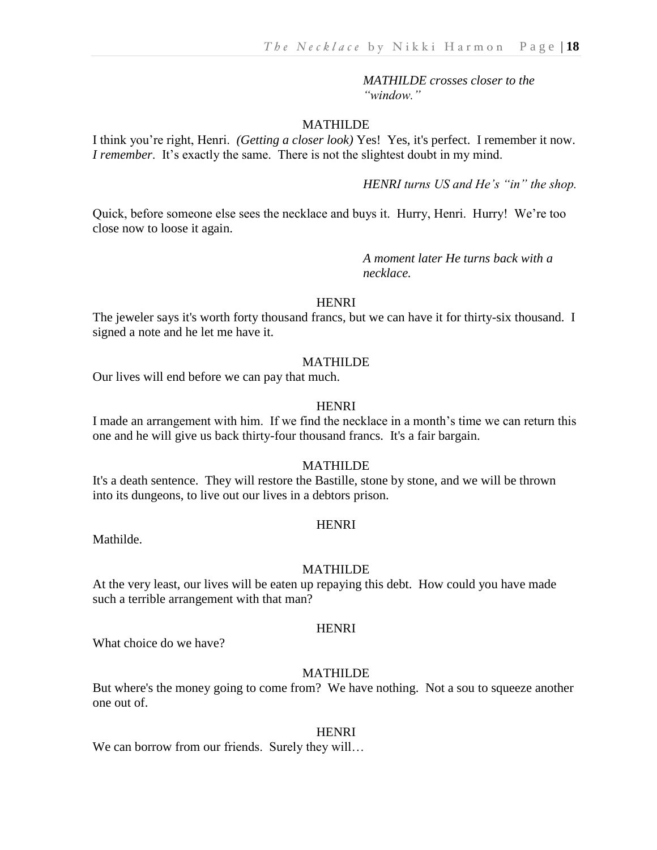*MATHILDE crosses closer to the "window."*

#### MATHILDE

I think you're right, Henri. *(Getting a closer look)* Yes! Yes, it's perfect. I remember it now. *I remember.* It's exactly the same. There is not the slightest doubt in my mind.

*HENRI turns US and He's "in" the shop.*

Quick, before someone else sees the necklace and buys it. Hurry, Henri. Hurry! We're too close now to loose it again.

> *A moment later He turns back with a necklace.*

#### **HENRI**

The jeweler says it's worth forty thousand francs, but we can have it for thirty-six thousand. I signed a note and he let me have it.

# MATHILDE

Our lives will end before we can pay that much.

### **HENRI**

I made an arrangement with him. If we find the necklace in a month's time we can return this one and he will give us back thirty-four thousand francs. It's a fair bargain.

# MATHILDE

It's a death sentence. They will restore the Bastille, stone by stone, and we will be thrown into its dungeons, to live out our lives in a debtors prison.

#### **HENRI**

Mathilde.

#### MATHILDE

At the very least, our lives will be eaten up repaying this debt. How could you have made such a terrible arrangement with that man?

# **HENRI**

What choice do we have?

# MATHILDE

But where's the money going to come from? We have nothing. Not a sou to squeeze another one out of.

#### HENRI

We can borrow from our friends. Surely they will...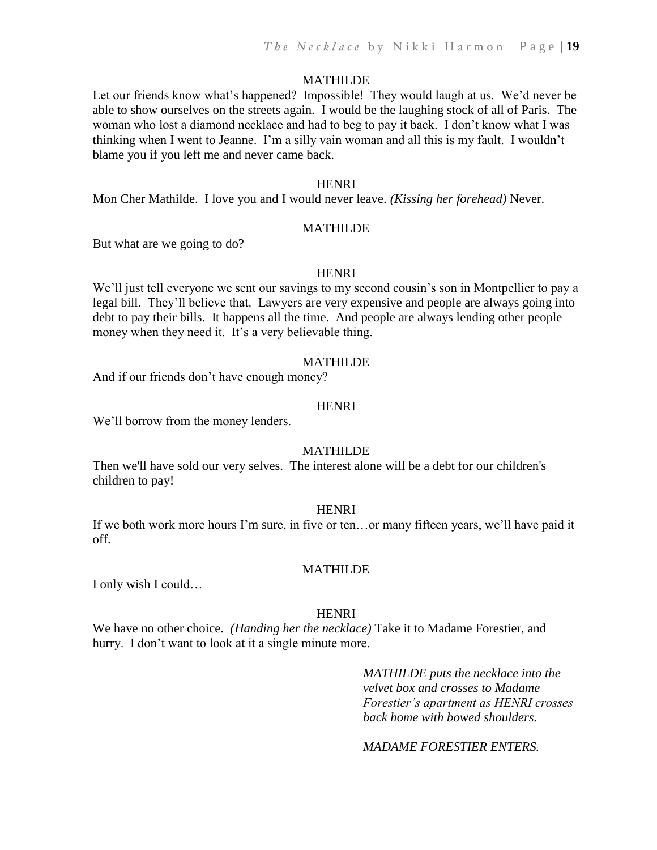Let our friends know what's happened? Impossible! They would laugh at us. We'd never be able to show ourselves on the streets again. I would be the laughing stock of all of Paris. The woman who lost a diamond necklace and had to beg to pay it back. I don't know what I was thinking when I went to Jeanne. I'm a silly vain woman and all this is my fault. I wouldn't blame you if you left me and never came back.

#### HENRI

Mon Cher Mathilde. I love you and I would never leave. *(Kissing her forehead)* Never.

#### MATHILDE

But what are we going to do?

#### **HENRI**

We'll just tell everyone we sent our savings to my second cousin's son in Montpellier to pay a legal bill. They'll believe that. Lawyers are very expensive and people are always going into debt to pay their bills. It happens all the time. And people are always lending other people money when they need it. It's a very believable thing.

#### MATHILDE

And if our friends don't have enough money?

### **HENRI**

We'll borrow from the money lenders.

#### MATHILDE

Then we'll have sold our very selves. The interest alone will be a debt for our children's children to pay!

#### **HENRI**

If we both work more hours I'm sure, in five or ten…or many fifteen years, we'll have paid it off.

#### MATHILDE

I only wish I could…

#### HENRI

We have no other choice. *(Handing her the necklace)* Take it to Madame Forestier, and hurry. I don't want to look at it a single minute more.

> *MATHILDE puts the necklace into the velvet box and crosses to Madame Forestier's apartment as HENRI crosses back home with bowed shoulders.*

*MADAME FORESTIER ENTERS.*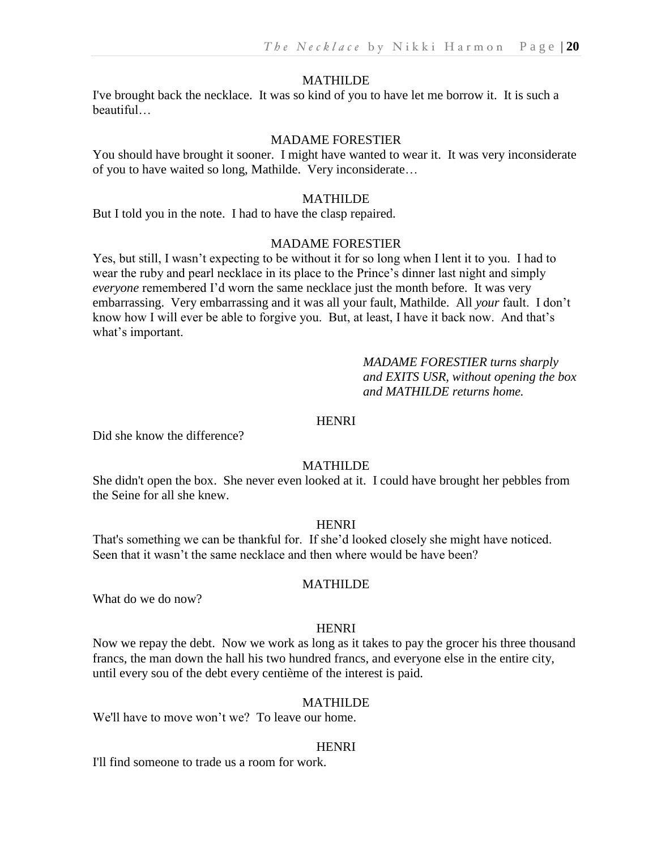I've brought back the necklace. It was so kind of you to have let me borrow it. It is such a beautiful…

#### MADAME FORESTIER

You should have brought it sooner. I might have wanted to wear it. It was very inconsiderate of you to have waited so long, Mathilde. Very inconsiderate…

#### MATHILDE

But I told you in the note. I had to have the clasp repaired.

#### MADAME FORESTIER

Yes, but still, I wasn't expecting to be without it for so long when I lent it to you. I had to wear the ruby and pearl necklace in its place to the Prince's dinner last night and simply *everyone* remembered I'd worn the same necklace just the month before. It was very embarrassing. Very embarrassing and it was all your fault, Mathilde. All *your* fault. I don't know how I will ever be able to forgive you. But, at least, I have it back now. And that's what's important.

> *MADAME FORESTIER turns sharply and EXITS USR, without opening the box and MATHILDE returns home.*

# **HENRI**

Did she know the difference?

### MATHILDE

She didn't open the box. She never even looked at it. I could have brought her pebbles from the Seine for all she knew.

#### **HENRI**

That's something we can be thankful for. If she'd looked closely she might have noticed. Seen that it wasn't the same necklace and then where would be have been?

# MATHILDE

What do we do now?

# **HENRI**

Now we repay the debt. Now we work as long as it takes to pay the grocer his three thousand francs, the man down the hall his two hundred francs, and everyone else in the entire city, until every sou of the debt every centième of the interest is paid.

#### MATHILDE

We'll have to move won't we? To leave our home.

#### **HENRI**

I'll find someone to trade us a room for work.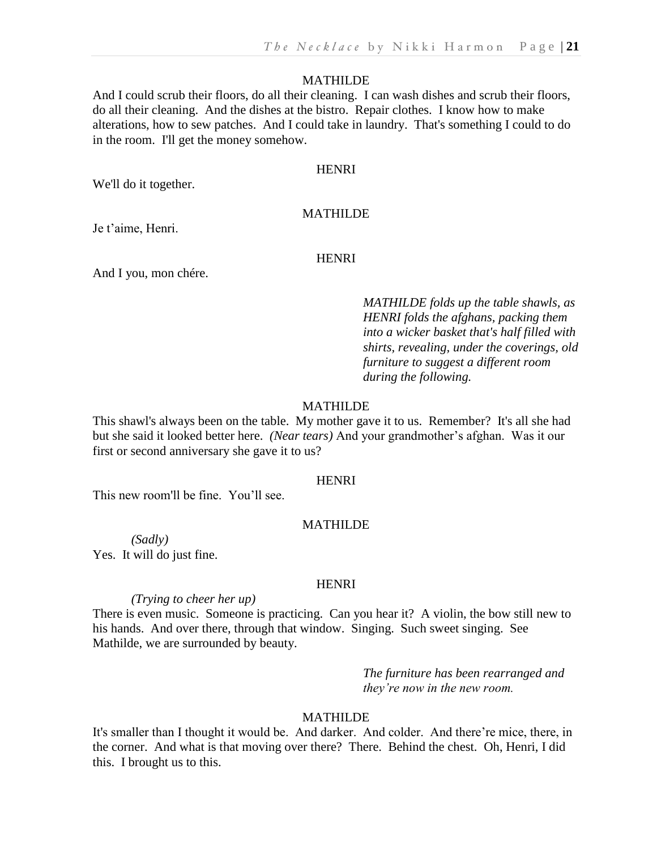And I could scrub their floors, do all their cleaning. I can wash dishes and scrub their floors, do all their cleaning. And the dishes at the bistro. Repair clothes. I know how to make alterations, how to sew patches. And I could take in laundry. That's something I could to do in the room. I'll get the money somehow.

#### **HENRI**

We'll do it together.

# MATHILDE

Je t'aime, Henri.

#### **HENRI**

And I you, mon chére.

*MATHILDE folds up the table shawls, as HENRI folds the afghans, packing them into a wicker basket that's half filled with shirts, revealing, under the coverings, old furniture to suggest a different room during the following.*

# MATHILDE

This shawl's always been on the table. My mother gave it to us. Remember? It's all she had but she said it looked better here. *(Near tears)* And your grandmother's afghan. Was it our first or second anniversary she gave it to us?

# **HENRI**

This new room'll be fine. You'll see.

#### MATHILDE

*(Sadly)* Yes. It will do just fine.

#### **HENRI**

*(Trying to cheer her up)*

There is even music. Someone is practicing. Can you hear it? A violin, the bow still new to his hands. And over there, through that window. Singing. Such sweet singing. See Mathilde, we are surrounded by beauty.

> *The furniture has been rearranged and they're now in the new room.*

# MATHILDE

It's smaller than I thought it would be. And darker. And colder. And there're mice, there, in the corner. And what is that moving over there? There. Behind the chest. Oh, Henri, I did this. I brought us to this.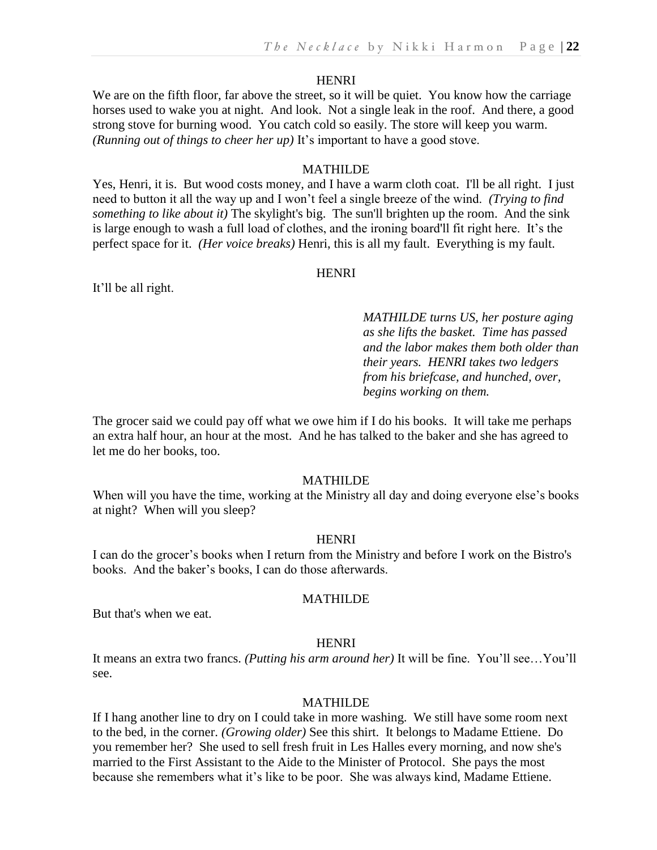We are on the fifth floor, far above the street, so it will be quiet. You know how the carriage horses used to wake you at night. And look. Not a single leak in the roof. And there, a good strong stove for burning wood. You catch cold so easily. The store will keep you warm. *(Running out of things to cheer her up)* It's important to have a good stove.

#### MATHILDE

Yes, Henri, it is. But wood costs money, and I have a warm cloth coat. I'll be all right. I just need to button it all the way up and I won't feel a single breeze of the wind. *(Trying to find something to like about it)* The skylight's big. The sun'll brighten up the room. And the sink is large enough to wash a full load of clothes, and the ironing board'll fit right here. It's the perfect space for it. *(Her voice breaks)* Henri, this is all my fault. Everything is my fault.

# **HENRI**

It'll be all right.

*MATHILDE turns US, her posture aging as she lifts the basket. Time has passed and the labor makes them both older than their years. HENRI takes two ledgers from his briefcase, and hunched, over, begins working on them.*

The grocer said we could pay off what we owe him if I do his books. It will take me perhaps an extra half hour, an hour at the most. And he has talked to the baker and she has agreed to let me do her books, too.

# MATHILDE

When will you have the time, working at the Ministry all day and doing everyone else's books at night? When will you sleep?

#### HENRI

I can do the grocer's books when I return from the Ministry and before I work on the Bistro's books. And the baker's books, I can do those afterwards.

#### MATHILDE

But that's when we eat.

# **HENRI**

It means an extra two francs. *(Putting his arm around her)* It will be fine. You'll see…You'll see.

#### MATHILDE

If I hang another line to dry on I could take in more washing. We still have some room next to the bed, in the corner. *(Growing older)* See this shirt. It belongs to Madame Ettiene. Do you remember her? She used to sell fresh fruit in Les Halles every morning, and now she's married to the First Assistant to the Aide to the Minister of Protocol. She pays the most because she remembers what it's like to be poor. She was always kind, Madame Ettiene.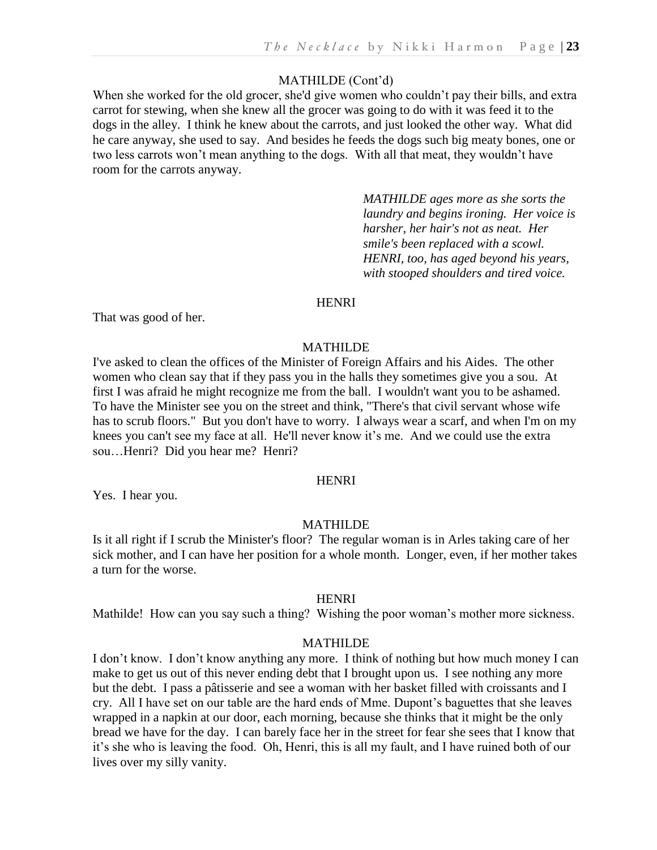# MATHILDE (Cont'd)

When she worked for the old grocer, she'd give women who couldn't pay their bills, and extra carrot for stewing, when she knew all the grocer was going to do with it was feed it to the dogs in the alley. I think he knew about the carrots, and just looked the other way. What did he care anyway, she used to say. And besides he feeds the dogs such big meaty bones, one or two less carrots won't mean anything to the dogs. With all that meat, they wouldn't have room for the carrots anyway.

> *MATHILDE ages more as she sorts the laundry and begins ironing. Her voice is harsher, her hair's not as neat. Her smile's been replaced with a scowl. HENRI, too, has aged beyond his years, with stooped shoulders and tired voice.*

# **HENRI**

That was good of her.

#### MATHILDE

I've asked to clean the offices of the Minister of Foreign Affairs and his Aides. The other women who clean say that if they pass you in the halls they sometimes give you a sou. At first I was afraid he might recognize me from the ball. I wouldn't want you to be ashamed. To have the Minister see you on the street and think, "There's that civil servant whose wife has to scrub floors." But you don't have to worry. I always wear a scarf, and when I'm on my knees you can't see my face at all. He'll never know it's me. And we could use the extra sou…Henri? Did you hear me? Henri?

# **HENRI**

Yes. I hear you.

# MATHILDE

Is it all right if I scrub the Minister's floor? The regular woman is in Arles taking care of her sick mother, and I can have her position for a whole month. Longer, even, if her mother takes a turn for the worse.

#### **HENRI**

Mathilde! How can you say such a thing? Wishing the poor woman's mother more sickness.

#### MATHILDE

I don't know. I don't know anything any more. I think of nothing but how much money I can make to get us out of this never ending debt that I brought upon us. I see nothing any more but the debt. I pass a pâtisserie and see a woman with her basket filled with croissants and I cry. All I have set on our table are the hard ends of Mme. Dupont's baguettes that she leaves wrapped in a napkin at our door, each morning, because she thinks that it might be the only bread we have for the day. I can barely face her in the street for fear she sees that I know that it's she who is leaving the food. Oh, Henri, this is all my fault, and I have ruined both of our lives over my silly vanity.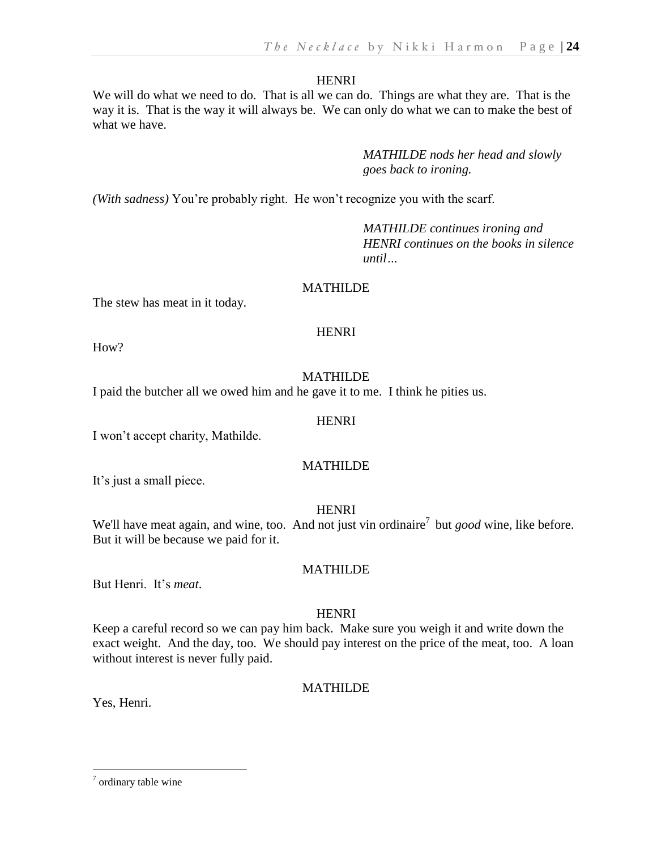We will do what we need to do. That is all we can do. Things are what they are. That is the way it is. That is the way it will always be. We can only do what we can to make the best of what we have.

> *MATHILDE nods her head and slowly goes back to ironing.*

*(With sadness)* You're probably right. He won't recognize you with the scarf.

*MATHILDE continues ironing and HENRI continues on the books in silence until…*

# MATHILDE

The stew has meat in it today.

# **HENRI**

How?

# MATHILDE

I paid the butcher all we owed him and he gave it to me. I think he pities us.

# **HENRI**

I won't accept charity, Mathilde.

# MATHILDE

It's just a small piece.

# **HENRI**

We'll have meat again, and wine, too. And not just vin ordinaire<sup>7</sup> but *good* wine, like before. But it will be because we paid for it.

But Henri. It's *meat*.

# HENRI

MATHILDE

Keep a careful record so we can pay him back. Make sure you weigh it and write down the exact weight. And the day, too. We should pay interest on the price of the meat, too. A loan without interest is never fully paid.

# MATHILDE

Yes, Henri.

 $\overline{a}$ 

<sup>&</sup>lt;sup>7</sup> ordinary table wine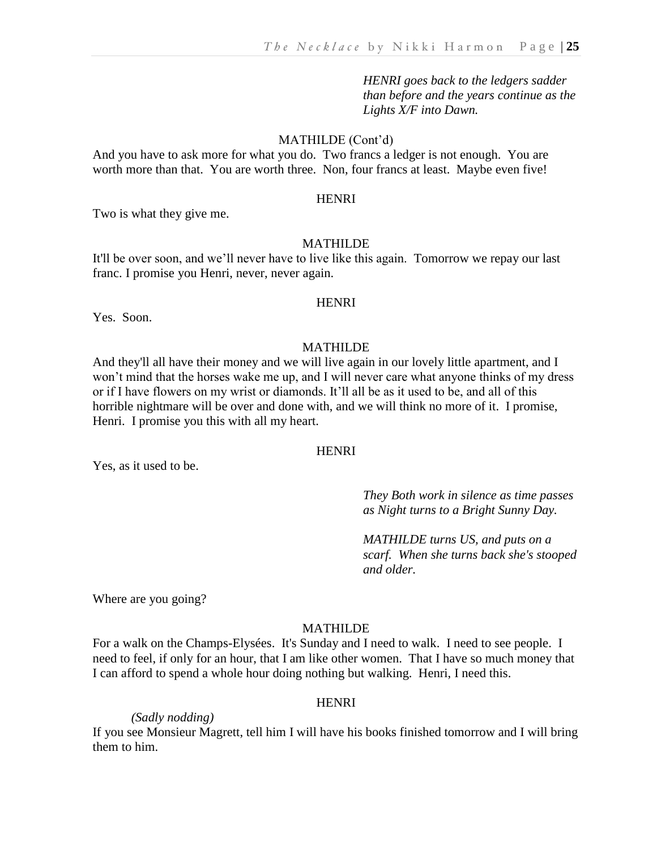*HENRI goes back to the ledgers sadder than before and the years continue as the Lights X/F into Dawn.*

#### MATHILDE (Cont'd)

And you have to ask more for what you do. Two francs a ledger is not enough. You are worth more than that. You are worth three. Non, four francs at least. Maybe even five!

#### HENRI

Two is what they give me.

#### MATHILDE

It'll be over soon, and we'll never have to live like this again. Tomorrow we repay our last franc. I promise you Henri, never, never again.

#### **HENRI**

Yes. Soon.

#### MATHILDE

And they'll all have their money and we will live again in our lovely little apartment, and I won't mind that the horses wake me up, and I will never care what anyone thinks of my dress or if I have flowers on my wrist or diamonds. It'll all be as it used to be, and all of this horrible nightmare will be over and done with, and we will think no more of it. I promise, Henri. I promise you this with all my heart.

#### **HENRI**

Yes, as it used to be.

*They Both work in silence as time passes as Night turns to a Bright Sunny Day.*

*MATHILDE turns US, and puts on a scarf. When she turns back she's stooped and older.*

Where are you going?

# MATHILDE

For a walk on the Champs-Elysées. It's Sunday and I need to walk. I need to see people. I need to feel, if only for an hour, that I am like other women. That I have so much money that I can afford to spend a whole hour doing nothing but walking. Henri, I need this.

#### **HENRI**

*(Sadly nodding)*

If you see Monsieur Magrett, tell him I will have his books finished tomorrow and I will bring them to him.